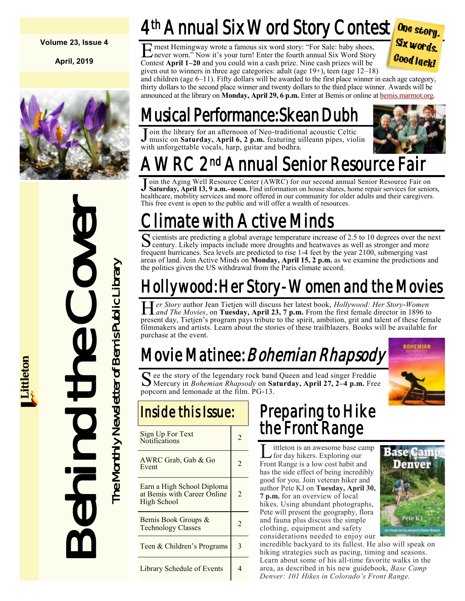#### **Volume 23, Issue 4**

**April, 2019**



Behind the Cover The Monthly Newsletter of Bemis Public Library The Monthly Newsletter of Bemis Public Library

# 4th Annual Six Word Story Contest

E rnest Hemingway wrote a famous six word story: "For Sale: baby shoes, never worn." Now it's your turn! Enter the fourth annual Six Word Story Contest **April 1–20** and you could win a cash prize. Nine cash prizes will be given out to winners in three age categories: adult (age 19+), teen (age 12–18)



and children (age 6–11). Fifty dollars will be awarded to the first place winner in each age category, thirty dollars to the second place winner and twenty dollars to the third place winner. Awards will be announced at the library on **Monday, April 29, 6 p.m.** Enter at Bemis or online at [bemis.marmot.org.](https://bemis.marmot.org/)

# Musical Performance: Skean Dubh

Join the library for an afternoon of Neo-traditional acoustic Celtic<br>Inusic on Saturday, April 6, 2 p.m. featuring uilleann pipes, viol music on **Saturday, April 6, 2 p.m.** featuring uilleann pipes, violin with unforgettable vocals, harp, guitar and bodhra.



#### AWRC 2nd <sup>nd</sup> Annual Senior Resource Fair

J oin the Aging Well Resource Center (AWRC) for our second annual Senior Resource Fair on Saturday, April 13, 9 a.m. noon. Find information on house shares, home repair services for senior **Saturday, April 13, 9 a.m.–noon.** Find information on house shares, home repair services for seniors, healthcare, mobility services and more offered in our community for older adults and their caregivers. This free event is open to the public and will offer a wealth of resources.

# imate with Active Minds

Solicitists are predicting a global average temperature increase of 2.5 to 10 degrees over the next century. Likely impacts include more droughts and heatwaves as well as stronger and more century. Likely impacts include more droughts and heatwaves as well as stronger and more frequent hurricanes. Sea levels are predicted to rise 1-4 feet by the year 2100, submerging vast areas of land. Join Active Minds on **Monday, April 15, 2 p.m.** as we examine the predictions and the politics given the US withdrawal from the Paris climate accord.

# Hollywood: Her Story-Women and the Movies

Her Story author Jean Tietjen will discuss her latest book, *Hollywood: Her Story-Women*<br>*Hand The Movies*, on **Tuesday, April 23, 7 p.m.** From the first female director in 1896 to *er Story* author Jean Tietjen will discuss her latest book, *Hollywood: Her Story-Women*  present day, Tietjen's program pays tribute to the spirit, ambition, grit and talent of these female filmmakers and artists. Learn about the stories of these trailblazers. Books will be available for purchase at the event.

# Movie Matinee: Bohemian Rhapsody

**BOHEMIAN** 

S ee the story of the legendary rock band Queen and lead singer Freddie Mercury in *Bohemian Rhapsody* on **Saturday**, April 27, 2–4 p.m. Free  $\bf{C}$  ee the story of the legendary rock band Queen and lead singer Freddie popcorn and lemonade at the film. PG-13.

| Inside this Issue:                                                       |                |
|--------------------------------------------------------------------------|----------------|
| <b>Sign Up For Text</b><br>Notifications                                 | $\mathfrak{D}$ |
| AWRC Grab, Gab & Go<br>Event                                             | 2              |
| Earn a High School Diploma<br>at Bemis with Career Online<br>High School | $\mathfrak{D}$ |
| Bemis Book Groups &<br><b>Technology Classes</b>                         | $\mathfrak{D}$ |
| Teen & Children's Programs                                               | 3              |
| Library Schedule of Events                                               | 4              |

### Preparing to Hike the Front Range

**L** ittleton is an awesome base can for day hikers. Exploring our ittleton is an awesome base camp Front Range is a low cost habit and has the side effect of being incredibly good for you. Join veteran hiker and author Pete KJ on **Tuesday, April 30, 7 p.m.** for an overview of local hikes. Using abundant photographs, Pete will present the geography, flora and fauna plus discuss the simple clothing, equipment and safety considerations needed to enjoy our



incredible backyard to its fullest. He also will speak on hiking strategies such as pacing, timing and seasons. Learn about some of his all-time favorite walks in the area, as described in his new guidebook, *Base Camp Denver: 101 Hikes in Colorado's Front Range.*

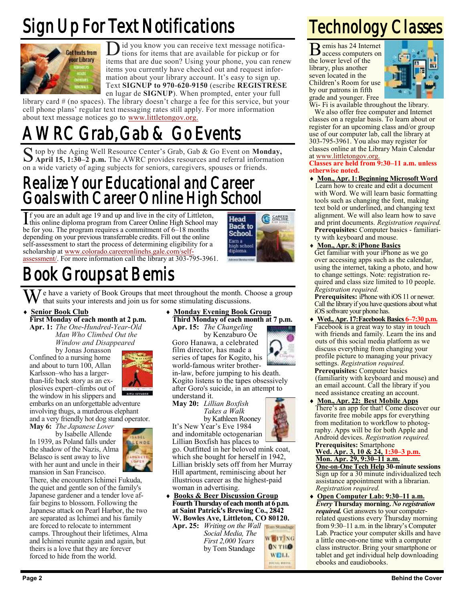# Sign Up For Text Notifications



D id you know you can receive text message notifications for items that are available for pickup or for items that are due soon? Using your phone, you can renew id you know you can receive text message notifications for items that are available for pickup or for items you currently have checked out and request information about your library account. It's easy to sign up. Text **SIGNUP to 970-620-9150** (escribe **REGISTRESE**  en lugar de **SIGNUP**). When prompted, enter your full

library card # (no spaces). The library doesn't charge a fee for this service, but your cell phone plans' regular text messaging rates still apply. For more information about text message notices go to [www.littletongov.org.](https://www.littletongov.org/city-services/city-departments/bemis-library/collections-services/library-cards)

# Grab, Gab & Go Events

S top by the Aging Well Resource Center's Grab, Gab & Go Event on **Monday,** April 15, 1:30-2 p.m. The AWRC provides resources and referral information **April 15, 1:30–2 p.m.** The AWRC provides resources and referral information on a wide variety of aging subjects for seniors, caregivers, spouses or friends.

### Realize Your Educational and Career Goals with Career Online High School

If you are an adult age 19 and up and live in the city of Littleton,<br>this online diploma program from Career Online High School may this online diploma program from Career Online High School may be for you. The program requires a commitment of 6–18 months depending on your previous transferrable credits. Fill out the online self-assessment to start the process of determining eligibility for a scholarship at [www.colorado.careeronlinehs.gale.com/self](https://www.colorado.careeronlinehs.gale.com/self-assessment/)[assessment/.](https://www.colorado.careeronlinehs.gale.com/self-assessment/) For more information call the library at 303-795-3961.



### Book Groups at Bemis

 $\sum_{i=1}^{n} I$  e have a variety of Book Groups that meet throughout the month. Choose a group that suits your interests and join us for some stimulating discussions.

#### **Senior Book Club**

**First Monday of each month at 2 p.m. Apr. 1:** *The One-Hundred-Year-Old Man Who Climbed Out the*

*Window and Disappeared* by Jonas Jonasson Confined to a nursing home

and about to turn 100, Allan Karlsson–who has a largerthan-life back story as an explosives expert–climbs out of the window in his slippers and



embarks on an unforgettable adventure involving thugs, a murderous elephant and a very friendly hot dog stand operator.

**May 6:** *The Japanese Lover* by Isabelle Allende In 1939, as Poland falls under the shadow of the Nazis, Alma Belasco is sent away to live with her aunt and uncle in their



mansion in San Francisco. There, she encounters Ichimei Fukuda, the quiet and gentle son of the family's Japanese gardener and a tender love affair begins to blossom. Following the Japanese attack on Pearl Harbor, the two are separated as Ichimei and his family are forced to relocate to internment camps. Throughout their lifetimes, Alma and Ichimei reunite again and again, but theirs is a love that they are forever forced to hide from the world.

 **Monday Evening Book Group Third Monday of each month at 7 p.m.**

**Apr. 15:** *The Changeling* by Kenzaburo Oe Goro Hanawa, a celebrated film director, has made a series of tapes for Kogito, his world-famous writer brother-

in-law, before jumping to his death. Kogito listens to the tapes obsessively after Goro's suicide, in an attempt to understand it.

**May 20:** *Lillian Boxfish Takes a Walk* by Kathleen Rooney

It's New Year's Eve 1984 and indomitable octogenarian

Lillian Boxfish has places to go. Outfitted in her beloved mink coat, which she bought for herself in 1942, Lillian briskly sets off from her Murray Hill apartment, reminiscing about her illustrious career as the highest-paid woman in advertising.

 **Books & Beer Discussion Group Fourth Thursday of each month at 6 p.m. at Saint Patrick's Brewing Co., 2842 W. Bowles Ave, Littleton, CO 80120.**

**Apr. 25:** *Writing on the Wall Social Media, The First 2,000 Years* by Tom Standage

**WEITING ON THO WELL POCTAL MAIL** 

## Technology Classes

B emis has 24 Internet access computers on the lower level of the library, plus another seven located in the Children's Room for use by our patrons in fifth grade and younger. Free



Wi- Fi is available throughout the library.

We also offer free computer and Internet classes on a regular basis. To learn about or register for an upcoming class and/or group use of our computer lab, call the library at 303-795-3961. You also may register for classes online at the Library Main Calendar at [www.littletongov.org.](https://www.littletongov.org/city-services/city-departments/bemis-library/library-events-calendar/-curm-4/-cury-2019/-selcat-157)

**Classes are held from 9:30–11 a.m. unless otherwise noted.**

- **Mon., Apr. 1:Beginning Microsoft Word** Learn how to create and edit a document with Word. We will learn basic formatting tools such as changing the font, making text bold or underlined, and changing text alignment. We will also learn how to save and print documents. *Registration required.*  **Prerequisites:** Computer basics - familiarity with keyboard and mouse.
- **Mon., Apr. 8:iPhone Basics** Get familiar with your iPhone as we go over accessing apps such as the calendar, using the internet, taking a photo, and how to change settings. Note: registration required and class size limited to 10 people. *Registration required.*

**Prerequisites:** iPhone with iOS 11 or newer. Call the library if you have questions about what iOS software your phone has.

- **Wed., Apr. 17:Facebook Basics 6–7:30 p.m.** Facebook is a great way to stay in touch with friends and family. Learn the ins and outs of this social media platform as we discuss everything from changing your profile picture to managing your privacy settings. *Registration required.* **Prerequisites:** Computer basics (familiarity with keyboard and mouse) and an email account. Call the library if you need assistance creating an account.
- **Mon., Apr. 22: Best Mobile Apps** There's an app for that! Come discover our favorite free mobile apps for everything from meditation to workflow to photography. Apps will be for both Apple and Android devices. *Registration required.* **Prerequisites:** Smartphone **Wed. Apr. 3, 10 & 24, 1:30–3 p.m. Mon. Apr. 29, 9:30–11 a.m. One-on-One Tech Help 30-minute sessions** Sign up for a 30 minute individualized tech assistance appointment with a librarian. *Registration required.*
- **Open Computer Lab: 9:30–11 a.m.** *Every* **Thursday morning.** *No registration required.* Get answers to your computerrelated questions every Thursday morning from 9:30–11 a.m. in the library's Computer Lab. Practice your computer skills and have a little one-on-one time with a computer class instructor. Bring your smartphone or tablet and get individual help downloading ebooks and eaudiobooks.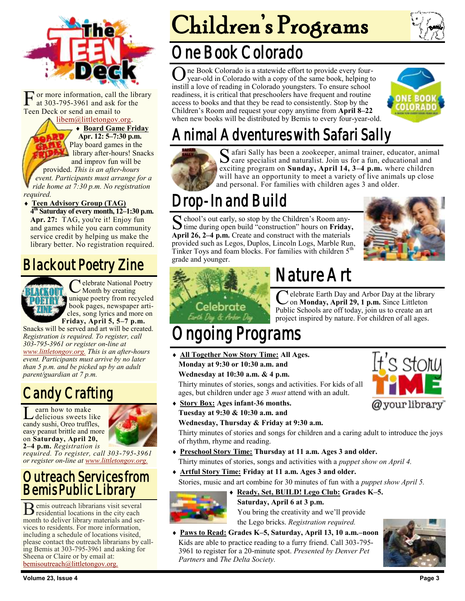

F or more information, call the library at 303-795-3961 and ask for the Teen Deck or send an email to

#### [libem@littletongov.org.](mailto:libem@littletongov.org.)

 **Board Game Friday Apr. 12: 5–7:30 p.m.** Play board games in the library after-hours! Snacks and improv fun will be

provided. *This is an after-hours event. Participants must arrange for a ride home at 7:30 p.m. No registration required.*

 **Teen Advisory Group (TAG) 4 th Saturday of every month, 12–1:30 p.m.** Apr. 27: TAG, you're it! Enjoy fun and games while you earn community service credit by helping us make the library better. No registration required.

### Blackout Poetry Zine



C elebrate National P<br>Month by creating elebrate National Poetry **unique poetry from recycled** book pages, newspaper articles, song lyrics and more on **Friday, April 5, 5–7 p.m.**

Snacks will be served and art will be created. *Registration is required. To register, call 303-795-3961 or register on-line at [www.littletongov.org.](https://www.littletongov.org/city-services/city-departments/bemis-library/library-events-calendar/-curm-4/-cury-2019/-selcat-97) This is an after-hours event. Participants must arrive by no later than 5 p.m. and be picked up by an adult parent/guardian at 7 p.m.*

### Candy Crafting

Learn how to make<br>
delicious sweets like<br>
candy sushi, Oreo truffles, earn how to make delicious sweets like easy peanut brittle and more on **Saturday, April 20, 2–4 p.m.** *Registration is* 



*required. To register, call 303-795-3961 or register on-line at [www.littletongov.org.](https://www.littletongov.org/city-services/city-departments/bemis-library/library-events-calendar/-curm-4/-cury-2019/-selcat-97)*

#### Outreach Services from Bemis Public Library

B emis outreach librarians visit several residential locations in the city each month to deliver library materials and services to residents. For more information, including a schedule of locations visited, please contact the outreach librarians by calling Bemis at 303-795-3961 and asking for Sheena or Claire or by email at: [bemisoutreach@littletongov.org.](mailto:bemisoutreach@littletongov.org)

# Children's Programs

### One Book Colorado

One Book Colorado is a statewide effort to provide every four-<br>year-old in Colorado with a copy of the same book, helping t<br>instill a love of reading in Colorado youngsters. To ensure school ne Book Colorado is a statewide effort to provide every fouryear-old in Colorado with a copy of the same book, helping to readiness, it is critical that preschoolers have frequent and routine access to books and that they be read to consistently. Stop by the Children's Room and request your copy anytime from **April 8–22**  when new books will be distributed by Bemis to every four-year-old.



## Animal Adventures with Safari Sally



S afari Sally has been a zookeeper, animal trainer, educator, animal care specialist and naturalist. Join us for a fun, educational and  $\mathbf{\mathcal{C}}$  care specialist and naturalist. Join us for a fun, educational and exciting program on **Sunday, April 14, 3–4 p.m.** where children will have an opportunity to meet a variety of live animals up close and personal. For families with children ages 3 and older.

# Drop-In and Build

S chool's out early, so stop by the Children's Room any-<br>time during open build "construction" hours on **Friday**,  $\Gamma$  chool's out early, so stop by the Children's Room any-**April 26, 2–4 p.m.** Create and construct with the materials provided such as Legos, Duplos, Lincoln Logs, Marble Run, Tinker Toys and foam blocks. For families with children  $5<sup>tr</sup>$ grade and younger.



It's st<u>o</u>ry

@your library



# Nature Art

Celebrate Earth Day and Arbor Day at the library<br>
on **Monday, April 29, 1 p.m.** Since Littleton<br>
Public Schools are off today, join us to create an art **T** elebrate Earth Day and Arbor Day at the library on **Monday, April 29, 1 p.m.** Since Littleton project inspired by nature. For children of all ages.

# Programs

- **All Together Now Story Time: All Ages. Monday at 9:30 or 10:30 a.m. and Wednesday at 10:30 a.m. & 4 p.m.** Thirty minutes of stories, songs and activities. For kids of all ages, but children under age 3 *must* attend with an adult.
- **Story Box: Ages infant-36 months. Tuesday at 9:30 & 10:30 a.m. and**

#### **Wednesday, Thursday & Friday at 9:30 a.m.**

Thirty minutes of stories and songs for children and a caring adult to introduce the joys of rhythm, rhyme and reading.

- **Preschool Story Time: Thursday at 11 a.m. Ages 3 and older.** Thirty minutes of stories, songs and activities with a *puppet show on April 4.*
- **Artful Story Time: Friday at 11 a.m. Ages 3 and older.** Stories, music and art combine for 30 minutes of fun with a *puppet show April 5.*



#### **Saturday, April 6 at 3 p.m.**

You bring the creativity and we'll provide the Lego bricks. *Registration required.*

 **Paws to Read: Grades K–5, Saturday, April 13, 10 a.m.–noon** Kids are able to practice reading to a furry friend. Call 303-795- 3961 to register for a 20-minute spot. *Presented by Denver Pet Partners* and *The Delta Society.*